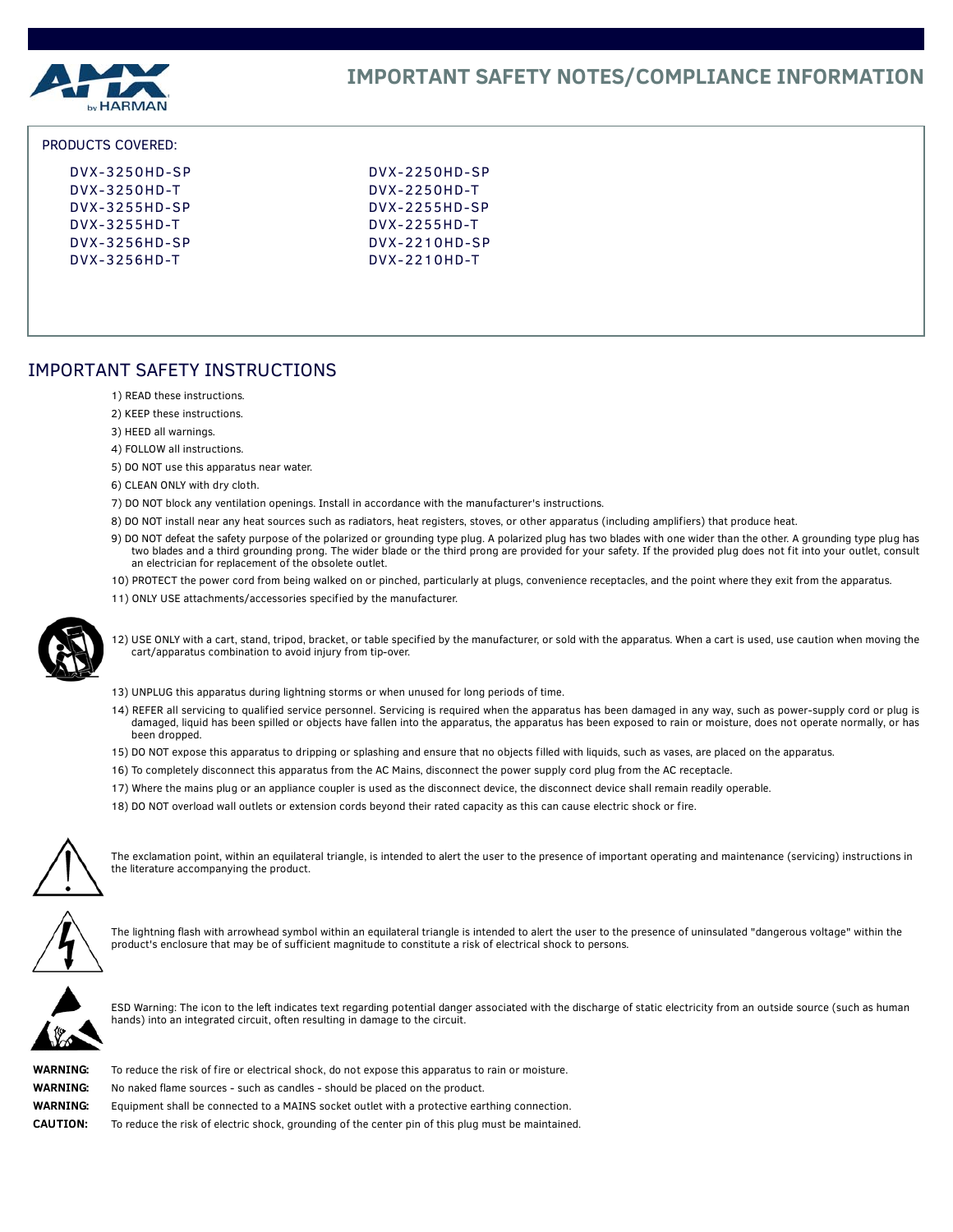

#### PRODUCTS COVERED:

| $Dvx-3250HD-SP$ | $Dvx-2250HD-SP$ |
|-----------------|-----------------|
| $Dvx-3250HD-T$  | $Dvx-2250HD-T$  |
| $Dvx-3255HD-SP$ | $Dvx-2255HD-SP$ |
| $Dvx-3255HD-T$  | $Dvx-2255HD-T$  |
| $Dvx-3256HD-SP$ | $Dvx-2210HD-SP$ |
| $Dvx-3256HD-T$  | $Dvx-2210HD-T$  |
|                 |                 |

# IMPORTANT SAFETY INSTRUCTIONS

- 1) READ these instructions.
- 2) KEEP these instructions.
- 3) HEED all warnings.
- 4) FOLLOW all instructions.
- 5) DO NOT use this apparatus near water.
- 6) CLEAN ONLY with dry cloth.
- 7) DO NOT block any ventilation openings. Install in accordance with the manufacturer's instructions.
- 8) DO NOT install near any heat sources such as radiators, heat registers, stoves, or other apparatus (including amplifiers) that produce heat.
- 9) DO NOT defeat the safety purpose of the polarized or grounding type plug. A polarized plug has two blades with one wider than the other. A grounding type plug has two blades and a third grounding prong. The wider blade or the third prong are provided for your safety. If the provided plug does not fit into your outlet, consult an electrician for replacement of the obsolete outlet.
- 10) PROTECT the power cord from being walked on or pinched, particularly at plugs, convenience receptacles, and the point where they exit from the apparatus.
- 11) ONLY USE attachments/accessories specified by the manufacturer.



12) USE ONLY with a cart, stand, tripod, bracket, or table specified by the manufacturer, or sold with the apparatus. When a cart is used, use caution when moving the cart/apparatus combination to avoid injury from tip-over.

- 13) UNPLUG this apparatus during lightning storms or when unused for long periods of time.
- 14) REFER all servicing to qualified service personnel. Servicing is required when the apparatus has been damaged in any way, such as power-supply cord or plug is damaged, liquid has been spilled or objects have fallen into the apparatus, the apparatus has been exposed to rain or moisture, does not operate normally, or has been dropped.
- 15) DO NOT expose this apparatus to dripping or splashing and ensure that no objects filled with liquids, such as vases, are placed on the apparatus.
- 16) To completely disconnect this apparatus from the AC Mains, disconnect the power supply cord plug from the AC receptacle.
- 17) Where the mains plug or an appliance coupler is used as the disconnect device, the disconnect device shall remain readily operable.
- 18) DO NOT overload wall outlets or extension cords beyond their rated capacity as this can cause electric shock or fire.



The exclamation point, within an equilateral triangle, is intended to alert the user to the presence of important operating and maintenance (servicing) instructions in the literature accompanying the product.



The lightning flash with arrowhead symbol within an equilateral triangle is intended to alert the user to the presence of uninsulated "dangerous voltage" within the product's enclosure that may be of sufficient magnitude to constitute a risk of electrical shock to persons.



ESD Warning: The icon to the left indicates text regarding potential danger associated with the discharge of static electricity from an outside source (such as human hands) into an integrated circuit, often resulting in damage to the circuit.

| WARNING:        |
|-----------------|
| WARNING:        |
| WARNING:        |
| <b>CAUTION:</b> |

To reduce the risk of fire or electrical shock, do not expose this apparatus to rain or moisture.

No naked flame sources - such as candles - should be placed on the product.

**WARNING:** Equipment shall be connected to a MAINS socket outlet with a protective earthing connection.

To reduce the risk of electric shock, grounding of the center pin of this plug must be maintained.